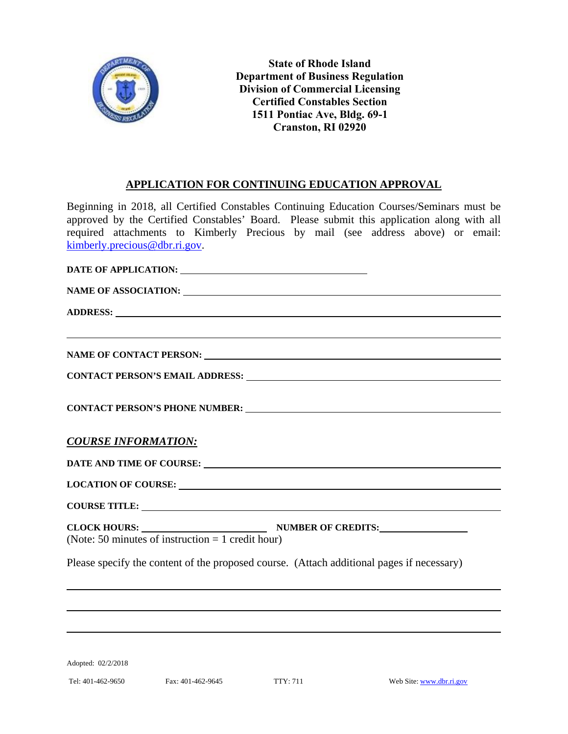

**State of Rhode Island Department of Business Regulation Division of Commercial Licensing Certified Constables Section 1511 Pontiac Ave, Bldg. 69-1 Cranston, RI 02920**

## **APPLICATION FOR CONTINUING EDUCATION APPROVAL**

Beginning in 2018, all Certified Constables Continuing Education Courses/Seminars must be approved by the Certified Constables' Board. Please submit this application along with all required attachments to Kimberly Precious by mail (see address above) or email: kimberly.precious@dbr.ri.gov.

| <u> 1999 - Jan Samuel Barbara, margaret eta idazlearen 1992an eta idazlearen 1992ko hamarkada eta idazlea zituen</u><br>CONTACT PERSON'S EMAIL ADDRESS: University of the CONTACT PERSON'S EMAIL ADDRESS:                      |
|--------------------------------------------------------------------------------------------------------------------------------------------------------------------------------------------------------------------------------|
|                                                                                                                                                                                                                                |
|                                                                                                                                                                                                                                |
|                                                                                                                                                                                                                                |
|                                                                                                                                                                                                                                |
|                                                                                                                                                                                                                                |
|                                                                                                                                                                                                                                |
| <b>COURSE INFORMATION:</b>                                                                                                                                                                                                     |
|                                                                                                                                                                                                                                |
| LOCATION OF COURSE: New York COURSE AND A SERIES AND THE SERIES OF STRIKE AND THE SERIES OF STRIKE AND THE SERIES OF STRIKE AND THE SERIES OF STRIKE AND THE SERIES OF STRIKE AND THE SERIES OF STRIKE AND THE SERIES OF STRIK |
| <b>COURSE TITLE:</b>                                                                                                                                                                                                           |
| CLOCK HOURS: NUMBER OF CREDITS:<br>(Note: 50 minutes of instruction $= 1$ credit hour)                                                                                                                                         |
| Please specify the content of the proposed course. (Attach additional pages if necessary)                                                                                                                                      |

Adopted: 02/2/2018